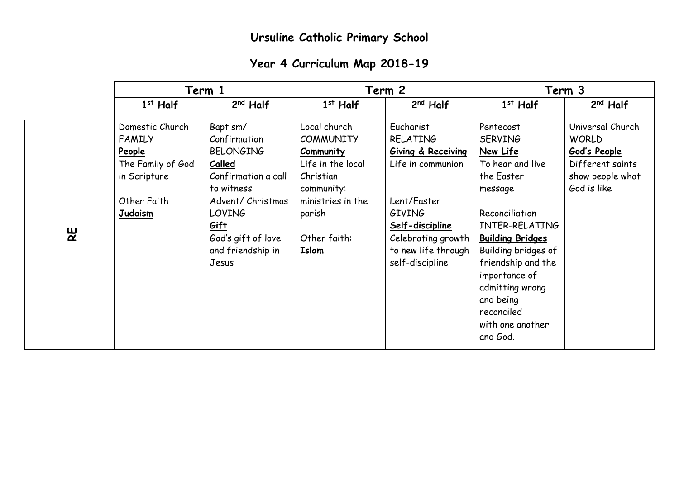## **Year 4 Curriculum Map 2018-19**

|              | Term 1                                                                                                           |                                                                                                                                                                                               |                                                                                                                                                       | Term 2                                                                                                                                                                              |                                                                                                                                                                                                                                                                                                 | Term 3                                                                                                  |  |
|--------------|------------------------------------------------------------------------------------------------------------------|-----------------------------------------------------------------------------------------------------------------------------------------------------------------------------------------------|-------------------------------------------------------------------------------------------------------------------------------------------------------|-------------------------------------------------------------------------------------------------------------------------------------------------------------------------------------|-------------------------------------------------------------------------------------------------------------------------------------------------------------------------------------------------------------------------------------------------------------------------------------------------|---------------------------------------------------------------------------------------------------------|--|
|              | $1st$ Half                                                                                                       | $2nd$ Half                                                                                                                                                                                    | $1st$ Half                                                                                                                                            | $2nd$ Half                                                                                                                                                                          | $1st$ Half                                                                                                                                                                                                                                                                                      | $2nd$ Half                                                                                              |  |
| $\mathbf{g}$ | Domestic Church<br><b>FAMILY</b><br>People<br>The Family of God<br>in Scripture<br>Other Faith<br><b>Judaism</b> | Baptism/<br>Confirmation<br><b>BELONGING</b><br>Called<br>Confirmation a call<br>to witness<br>Advent/ Christmas<br><b>LOVING</b><br>Gift<br>God's gift of love<br>and friendship in<br>Jesus | Local church<br><b>COMMUNITY</b><br>Community<br>Life in the local<br>Christian<br>community:<br>ministries in the<br>parish<br>Other faith:<br>Islam | Eucharist<br>RELATING<br>Giving & Receiving<br>Life in communion<br>Lent/Easter<br><b>GIVING</b><br>Self-discipline<br>Celebrating growth<br>to new life through<br>self-discipline | Pentecost<br><b>SERVING</b><br>New Life<br>To hear and live<br>the Easter<br>message<br>Reconciliation<br>INTER-RELATING<br><b>Building Bridges</b><br>Building bridges of<br>friendship and the<br>importance of<br>admitting wrong<br>and being<br>reconciled<br>with one another<br>and God. | Universal Church<br><b>WORLD</b><br>God's People<br>Different saints<br>show people what<br>God is like |  |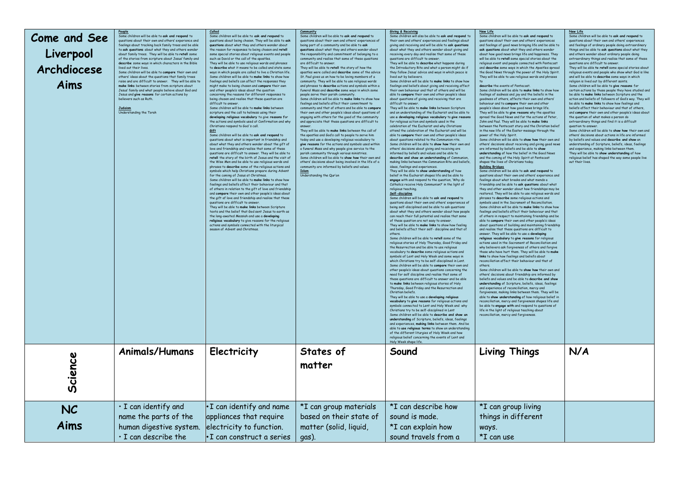| Come and See<br>Liverpool<br>Archdiocese<br>Aims | People<br>Some children will be able to ask and respond to<br>questions about their own and others' experience and<br>.<br>Feelings about tracking back family trees and be able<br>to ask questions about what they and others wonder<br>about family trees. They will be able to retell some<br>of the stories from scripture about Jesus' family and<br>describe some ways in which characters in the Bible<br>lived out their lives<br>Some children will be able to compare their own and<br>others' ideas about the questions that family trees<br>raise and are difficult to answer. They will be able to<br>make links between stories from scripture about<br>Tesus' family and what people believe about God and<br>Jesus and give reasons for certain actions by<br>believers such as Ruth.<br><b>Judaism</b><br>Understanding the Torah | Called<br>Some children will be able to ask and respond to<br>questions about being chosen. They will be able to ask<br>questions about what they and others wonder about<br>the reason for responses to being chosen and retell<br>some special stories about religious events and people<br>such as David or the call of the apostles.<br>They will be able to use religious words and phrases<br>to describe what it means to be called and state some<br>ways in which people are called to live a Christian life.<br>Some children will be able to make links to show how<br>feelings and beliefs can affect the responses they<br>might make to being chosen and compare their own<br>and other neaple's ideas about the question<br>concerning the reasons for different responses to<br>being chosen and realise that these question are<br>difficult to answe<br>Some children will be able to make links between<br>scripture and the call to holiness using their<br>developing religious vocabulary to give reasons for<br>the actions and symbols used at Confirmation and why<br>Christians respond to God's call.<br>Gift<br>Some children will be able to ask and respond to<br>questions about what is important in friendship and<br>about what they and others wonder about the aift of<br>love and friendship and realise that some of these<br>questions are difficult to answer. They will be able to<br>retell the story of the birth of Jesus and the visit of<br>the Wise Men and be able to use religious words and<br>phrases to describe some of the religious actions and<br>symbols which help Christians prepare during Advent<br>for the coming of Jesus at Christmas,<br>Some children will be able to make links to show how<br>feelings and beliefs affect their behaviour and that<br>of others in relation to the gift of love and friendship<br>and compare their own and other people's ideas about<br>the aift of love and friendship and realise that these<br>questions are difficult to answer<br>They will be able to make links between Scripture<br>texts and the belief that God sent Jesus to earth as<br>the long-awaited Messigh and use a developing<br>religious vocabulary to give reasons for the religious<br>actions and symbols connected with the liturgical<br>season of Advent and Christmas. | Community<br>Some children will be able to ask and respond to<br>questions about their own and others' experiences of<br>being part of a community and be able to ask<br>questions about what they and others wonder about<br>the responsibility and commitment of belonging to a<br>community and realise that some of these questions<br>are difficult to answer<br>They will be able to retell the story of how the<br>apostles were called and describe some of the advice<br>St. Paul gives us on how to be loving members of a<br>community. They will be able to use religious words<br>and phrases to describe actions and symbols within a<br>funeral Mass and describe some ways in which some<br>neonle serve their norish community<br>Some children will be able to make links to show how<br>feelings and beliefs affect their commitment to<br>community and that of others and be able to compare<br>their own and other neonle's ideas about questions of<br>enggaing with others for the good of the community<br>and appreciate that these questions are difficult to<br>They will be able to make links between the call of<br>the apostles and God's call to people to serve him<br>today and use a developing religious vocabulary to<br>give reasons for the actions and symbols used within<br>a funeral Mass and why people give service to the<br>parish community through various ministries.<br>Some children will be able to show how their own and<br>others' decisions about being involved in the life of a<br>community are informed by beliefs and values.<br><b>Islam</b><br>Understanding the Qur'an | Giving & Receiving<br>Some children will also be able to ask and respond to<br>their own and others' experiences and feelings about<br>giving and receiving and will be able to ask questions<br>about what they and others wonder about giving and<br>receiving every day and realise that some of these<br>questions are difficult to answer<br>They will be able to describe what happens during<br>the Introductory Rite and what a person might do if<br>they follow Jesus' advice and ways in which peace is<br>lived out by believers.<br>Some children will be able to make links to show how<br>feelings and beliefs about giving and receiving affect<br>their own behaviour and that of others and will be<br>able to compare their own and other people's ideas<br>about questions of giving and receiving that are<br>difficult to answe<br>They will be able to make links between Scripture<br>and an understanding of the Eucharist and be able to<br>use a developing religious vocabulary to give reasons<br>for religious action and symbols used in the<br>celebration of the Eucharist and why Christians<br>attend the celebration of the Eucharist and will be<br>able to compare their own and other people's ideas<br>about questions related to the Communion rite.<br>Some children will be able to show how their own and<br>others' decisions about giving and receiving are<br>informed by beliefs and values and be able to<br>describe and show an understanding of Communion<br>making links between the Communion Rite and beliefs,<br>ideas, feelings and experiences.<br>They will be able to show understanding of how<br>belief in the Eucharist shapes life and be able to<br>engage with and respond to the question, 'Why do<br>Catholics receive Holy Communion?' in the light of<br>religious teaching.<br>Self-discipline<br>Some children will be able to ask and respond to<br>questions about their own and others' experiences of<br>being self-disciplined and be able to ask questions<br>about what they and others wonder about how people<br>can reach their full potential and realise that some<br>of these question are not easy to answer<br>They will be able to make links to show how feeling<br>and beliefs affect their self- discipline and that of<br>others<br>Some children will be able to retell some of the<br>religious stories of Holy Thursday, Good Friday and<br>the Resurrection and be able to use religious<br>vocabulary to describe some religious actions and<br>symbols of Lent and Holy Week and some ways in<br>which Christians try to be self-disciplined in Lent.<br>Some children will be able to compare their own and<br>other people's ideas about questions concerning the<br>need for self discipline and realise that some of<br>these questions are difficult to answer and be able<br>to make links between religious stories of Holy<br>Thursday, Good Friday and the Resurrection and<br>Christian beliefs<br>They will be able to use a developing religious<br>vocabulary to give reasons for religious actions and<br>symbols connected to Lent and Holy Week and why<br>Christians try to be self-disciplined in Lent<br>Some children will be able to describe and show an<br>understanding of Scripture, beliefs, ideas, feelings<br>and experiences, making links between them. And be<br>able to use religious terms to show an understanding<br>of the different liturgies of Holy Week and how<br>religious belief concerning the events of Lent and<br>Holy Week shape life. | New Life<br>Some children will be able to ask and respond to<br>questions about their own and others' experiences<br>and feelings of good news bringing life and be able to<br>ask auestions about what they and others wonder<br>about how good news brings life and happiness. They<br>will be able to retell some special stories about the<br>religious event and people connected with Pentecost<br>and describe some ways in which the Apostles spread<br>the Good News through the power of the Holy Spirit.<br>They will be able to use religious words and phrases<br>describe the events of Pentecost.<br>Some children will be able to make links to show how<br>feelings of sadness and joy and the beliefs in the<br>goodness of others, affects their own and others'<br>behaviour and to compare their own and other<br>people's ideas about how good news brings life.<br>They will be able to give reasons why the apostles<br>spread the Good News and for the actions of Peter.<br>John and Paul. They will be able to make links<br>between the Pentecost story and the Christian belief<br>in the new life of the Easter message through the<br>nower of the Holy Spirit<br>Some children will be able to show how their own and<br>others' decisions about receiving and giving good news<br>are informed by beliefs and be able to show<br>understanding of how the belief in the Good News<br>and the coming of the Holy Spirit at Pentecost<br>shapes the lives of Christians today.<br><b>Building Bridges</b><br>Some children will be able to ask and respond to<br>questions about their own and others' experience and<br>feelings about what breaks and what mends a<br>friendship and be able to ask questions about what<br>they and other wonder about how friendships may be<br>restored. They will be able to use religious words and<br>phrases to describe some religious actions and<br>symbols used in the Sacrament of Reconciliation<br>Some children will be able to make links to show how<br>feelings and beliefs affect their behaviour and that<br>of others in respect to maintaining friendship and be<br>able to compare their own and other people's ideas<br>about questions of building and maintaining friendship<br>and realise that these questions are difficult to<br>answer. They will be able to use a developing<br>religious vocabulary to give reasons for religious<br>actions used in the Sacrament of Reconciliation and<br>why believers ask forgiveness of others and forgive<br>those who have hurt them. They will be able to make<br>links to show how feelings and beliefs about<br>reconciliation affect their behaviour and that of<br>others.<br>Some children will be oble to show how their own and<br>others' decisions about friendship are informed by<br>beliefs and values and be able to describe and show<br>understanding of Scripture, beliefs, ideas, feelings<br>and experience of reconciliation, mercy and<br>forgiveness, making links between them. They will be<br>able to show understanding of how religious belief in<br>reconciliation, mercy and forgiveness shapes life and<br>be able to engage with and respond to questions of<br>life in the light of religious teaching about<br>reconciliation, mercy and forgiveness. | <b>New Life</b><br>Some children will be able to ask and respond to<br>questions about their own and others' experiences<br>and feelings of ordinary people doing extraordinary<br>things and be able to ask questions about what they<br>and others wonder about ordinary people doing<br>extraordinary things and realise that some of these<br>questions are difficult to answer<br>They will be able to retell some special stories about<br>religious events and people who show what God is like<br>and will be able to describe some ways in which<br>religion is lived out by different saints.<br>Some children will be able to give reasons for<br>certain actions by those neaple they have studied and<br>be oble to make links between Scripture and the<br>action and beliefs of followers of God's way. They will<br>be able to make links to show how feelings and<br>beliefs affect their behaviour and that of others,<br>and compare their own and other people's ideas about<br>the question of what makes a person do<br>extraordinary things and find it is a difficult<br>question to answer.<br>Some children will be able to show how their own and<br>others' decisions about actions in life are informed<br>by beliefs and values and describe and show an<br>understanding of Scripture, beliefs, ideas, feelings<br>and experience, making links between them.<br>They will be able to show understanding of how<br>religious belief has shaped the way some people live<br>out their lives. |
|--------------------------------------------------|-----------------------------------------------------------------------------------------------------------------------------------------------------------------------------------------------------------------------------------------------------------------------------------------------------------------------------------------------------------------------------------------------------------------------------------------------------------------------------------------------------------------------------------------------------------------------------------------------------------------------------------------------------------------------------------------------------------------------------------------------------------------------------------------------------------------------------------------------------|-----------------------------------------------------------------------------------------------------------------------------------------------------------------------------------------------------------------------------------------------------------------------------------------------------------------------------------------------------------------------------------------------------------------------------------------------------------------------------------------------------------------------------------------------------------------------------------------------------------------------------------------------------------------------------------------------------------------------------------------------------------------------------------------------------------------------------------------------------------------------------------------------------------------------------------------------------------------------------------------------------------------------------------------------------------------------------------------------------------------------------------------------------------------------------------------------------------------------------------------------------------------------------------------------------------------------------------------------------------------------------------------------------------------------------------------------------------------------------------------------------------------------------------------------------------------------------------------------------------------------------------------------------------------------------------------------------------------------------------------------------------------------------------------------------------------------------------------------------------------------------------------------------------------------------------------------------------------------------------------------------------------------------------------------------------------------------------------------------------------------------------------------------------------------------------------------------------------------------------------------------------------------------------------------------------------------------------------------------------|------------------------------------------------------------------------------------------------------------------------------------------------------------------------------------------------------------------------------------------------------------------------------------------------------------------------------------------------------------------------------------------------------------------------------------------------------------------------------------------------------------------------------------------------------------------------------------------------------------------------------------------------------------------------------------------------------------------------------------------------------------------------------------------------------------------------------------------------------------------------------------------------------------------------------------------------------------------------------------------------------------------------------------------------------------------------------------------------------------------------------------------------------------------------------------------------------------------------------------------------------------------------------------------------------------------------------------------------------------------------------------------------------------------------------------------------------------------------------------------------------------------------------------------------------------------------------------------------------------------------------------------|------------------------------------------------------------------------------------------------------------------------------------------------------------------------------------------------------------------------------------------------------------------------------------------------------------------------------------------------------------------------------------------------------------------------------------------------------------------------------------------------------------------------------------------------------------------------------------------------------------------------------------------------------------------------------------------------------------------------------------------------------------------------------------------------------------------------------------------------------------------------------------------------------------------------------------------------------------------------------------------------------------------------------------------------------------------------------------------------------------------------------------------------------------------------------------------------------------------------------------------------------------------------------------------------------------------------------------------------------------------------------------------------------------------------------------------------------------------------------------------------------------------------------------------------------------------------------------------------------------------------------------------------------------------------------------------------------------------------------------------------------------------------------------------------------------------------------------------------------------------------------------------------------------------------------------------------------------------------------------------------------------------------------------------------------------------------------------------------------------------------------------------------------------------------------------------------------------------------------------------------------------------------------------------------------------------------------------------------------------------------------------------------------------------------------------------------------------------------------------------------------------------------------------------------------------------------------------------------------------------------------------------------------------------------------------------------------------------------------------------------------------------------------------------------------------------------------------------------------------------------------------------------------------------------------------------------------------------------------------------------------------------------------------------------------------------------------------------------------------------------------------------------------------------------------------------------------------------------------------------------------------------------------------------------------------------------------------------------------------------------------------------------------------------------------------------------------------------------------------------------------------------------------------------------------------------------------------------|---------------------------------------------------------------------------------------------------------------------------------------------------------------------------------------------------------------------------------------------------------------------------------------------------------------------------------------------------------------------------------------------------------------------------------------------------------------------------------------------------------------------------------------------------------------------------------------------------------------------------------------------------------------------------------------------------------------------------------------------------------------------------------------------------------------------------------------------------------------------------------------------------------------------------------------------------------------------------------------------------------------------------------------------------------------------------------------------------------------------------------------------------------------------------------------------------------------------------------------------------------------------------------------------------------------------------------------------------------------------------------------------------------------------------------------------------------------------------------------------------------------------------------------------------------------------------------------------------------------------------------------------------------------------------------------------------------------------------------------------------------------------------------------------------------------------------------------------------------------------------------------------------------------------------------------------------------------------------------------------------------------------------------------------------------------------------------------------------------------------------------------------------------------------------------------------------------------------------------------------------------------------------------------------------------------------------------------------------------------------------------------------------------------------------------------------------------------------------------------------------------------------------------------------------------------------------------------------------------------------------------------------------------------------------------------------------------------------------------------------------------------------------------------------------------------------------------------------------------------------------------------------------------------------------------------------------------------------------------------------------------------------------------------------------------------------------------------------------------------------------------------------------------------------------------------------------------------------------------------------------------------------------------------------------------------------------------|----------------------------------------------------------------------------------------------------------------------------------------------------------------------------------------------------------------------------------------------------------------------------------------------------------------------------------------------------------------------------------------------------------------------------------------------------------------------------------------------------------------------------------------------------------------------------------------------------------------------------------------------------------------------------------------------------------------------------------------------------------------------------------------------------------------------------------------------------------------------------------------------------------------------------------------------------------------------------------------------------------------------------------------------------------------------------------------------------------------------------------------------------------------------------------------------------------------------------------------------------------------------------------------------------------------------------------------------------------------------------------------------------------------------------------------------------------------------------------------------------------------------------|
| Science                                          | Animals/Humans                                                                                                                                                                                                                                                                                                                                                                                                                                                                                                                                                                                                                                                                                                                                                                                                                                      | Electricity                                                                                                                                                                                                                                                                                                                                                                                                                                                                                                                                                                                                                                                                                                                                                                                                                                                                                                                                                                                                                                                                                                                                                                                                                                                                                                                                                                                                                                                                                                                                                                                                                                                                                                                                                                                                                                                                                                                                                                                                                                                                                                                                                                                                                                                                                                                                               | States of<br>matter                                                                                                                                                                                                                                                                                                                                                                                                                                                                                                                                                                                                                                                                                                                                                                                                                                                                                                                                                                                                                                                                                                                                                                                                                                                                                                                                                                                                                                                                                                                                                                                                                      | Sound                                                                                                                                                                                                                                                                                                                                                                                                                                                                                                                                                                                                                                                                                                                                                                                                                                                                                                                                                                                                                                                                                                                                                                                                                                                                                                                                                                                                                                                                                                                                                                                                                                                                                                                                                                                                                                                                                                                                                                                                                                                                                                                                                                                                                                                                                                                                                                                                                                                                                                                                                                                                                                                                                                                                                                                                                                                                                                                                                                                                                                                                                                                                                                                                                                                                                                                                                                                                                                                                                                                                                                                    | <b>Living Things</b>                                                                                                                                                                                                                                                                                                                                                                                                                                                                                                                                                                                                                                                                                                                                                                                                                                                                                                                                                                                                                                                                                                                                                                                                                                                                                                                                                                                                                                                                                                                                                                                                                                                                                                                                                                                                                                                                                                                                                                                                                                                                                                                                                                                                                                                                                                                                                                                                                                                                                                                                                                                                                                                                                                                                                                                                                                                                                                                                                                                                                                                                                                                                                                                                                                                                                                            | N/A                                                                                                                                                                                                                                                                                                                                                                                                                                                                                                                                                                                                                                                                                                                                                                                                                                                                                                                                                                                                                                                                                                                                                                                                                                                                                                                                                                                                                                                                                                                        |
| <b>NC</b><br>Aims                                | · I can identify and<br>name the parts of the<br>human digestive system.<br>$\cdot$ I can describe the                                                                                                                                                                                                                                                                                                                                                                                                                                                                                                                                                                                                                                                                                                                                              | . I can identify and name<br>appliances that require<br>electricity to function.<br>$\cdot$ I can construct a series                                                                                                                                                                                                                                                                                                                                                                                                                                                                                                                                                                                                                                                                                                                                                                                                                                                                                                                                                                                                                                                                                                                                                                                                                                                                                                                                                                                                                                                                                                                                                                                                                                                                                                                                                                                                                                                                                                                                                                                                                                                                                                                                                                                                                                      | *I can group materials<br>based on their state of<br>matter (solid, liquid,<br>qas)                                                                                                                                                                                                                                                                                                                                                                                                                                                                                                                                                                                                                                                                                                                                                                                                                                                                                                                                                                                                                                                                                                                                                                                                                                                                                                                                                                                                                                                                                                                                                      | *I can describe how<br>sound is made.<br>*I can explain how<br>sound travels from a                                                                                                                                                                                                                                                                                                                                                                                                                                                                                                                                                                                                                                                                                                                                                                                                                                                                                                                                                                                                                                                                                                                                                                                                                                                                                                                                                                                                                                                                                                                                                                                                                                                                                                                                                                                                                                                                                                                                                                                                                                                                                                                                                                                                                                                                                                                                                                                                                                                                                                                                                                                                                                                                                                                                                                                                                                                                                                                                                                                                                                                                                                                                                                                                                                                                                                                                                                                                                                                                                                      | *I can group living<br>things in different<br>ways.<br>*I can use                                                                                                                                                                                                                                                                                                                                                                                                                                                                                                                                                                                                                                                                                                                                                                                                                                                                                                                                                                                                                                                                                                                                                                                                                                                                                                                                                                                                                                                                                                                                                                                                                                                                                                                                                                                                                                                                                                                                                                                                                                                                                                                                                                                                                                                                                                                                                                                                                                                                                                                                                                                                                                                                                                                                                                                                                                                                                                                                                                                                                                                                                                                                                                                                                                                               |                                                                                                                                                                                                                                                                                                                                                                                                                                                                                                                                                                                                                                                                                                                                                                                                                                                                                                                                                                                                                                                                                                                                                                                                                                                                                                                                                                                                                                                                                                                            |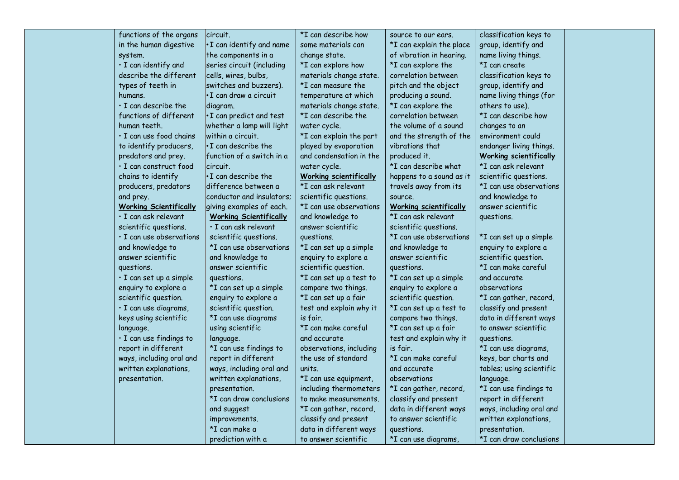| functions of the organs        | circuit.                      | *I can describe how           | source to our ears.           | classification keys to        |
|--------------------------------|-------------------------------|-------------------------------|-------------------------------|-------------------------------|
| in the human digestive         | . I can identify and name     | some materials can            | *I can explain the place      | group, identify and           |
| system.                        | the components in a           | change state.                 | of vibration in hearing.      | name living things.           |
| · I can identify and           | series circuit (including     | *I can explore how            | *I can explore the            | *I can create                 |
| describe the different         | cells, wires, bulbs,          | materials change state.       | correlation between           | classification keys to        |
| types of teeth in              | switches and buzzers).        | *I can measure the            | pitch and the object          | group, identify and           |
| humans.                        | •I can draw a circuit         | temperature at which          | producing a sound.            | name living things (for       |
| $\cdot$ I can describe the     | diagram.                      | materials change state.       | *I can explore the            | others to use).               |
| functions of different         | . I can predict and test      | *I can describe the           | correlation between           | *I can describe how           |
| human teeth.                   | whether a lamp will light     | water cycle.                  | the volume of a sound         | changes to an                 |
| · I can use food chains        | within a circuit.             | *I can explain the part       | and the strength of the       | environment could             |
| to identify producers,         | $\cdot$ I can describe the    | played by evaporation         | vibrations that               | endanger living things.       |
| predators and prey.            | function of a switch in a     | and condensation in the       | produced it.                  | <b>Working scientifically</b> |
| · I can construct food         | lcircuit.                     | water cycle.                  | *I can describe what          | *I can ask relevant           |
| chains to identify             | . I can describe the          | <b>Working scientifically</b> | happens to a sound as it      | scientific questions.         |
| producers, predators           | difference between a          | *I can ask relevant           | travels away from its         | *I can use observations       |
| and prey.                      | conductor and insulators;     | scientific questions.         | source.                       | and knowledge to              |
| <b>Working Scientifically</b>  | giving examples of each.      | *I can use observations       | <b>Working scientifically</b> | answer scientific             |
| · I can ask relevant           | <b>Working Scientifically</b> | and knowledge to              | *I can ask relevant           | questions.                    |
| scientific questions.          | $\cdot$ I can ask relevant    | answer scientific             | scientific questions.         |                               |
| $\cdot$ I can use observations | scientific questions.         | questions.                    | *I can use observations       | *I can set up a simple        |
| and knowledge to               | *I can use observations       | *I can set up a simple        | and knowledge to              | enquiry to explore a          |
| answer scientific              | and knowledge to              | enquiry to explore a          | answer scientific             | scientific question.          |
| questions.                     | answer scientific             | scientific question.          | questions.                    | *I can make careful           |
| · I can set up a simple        | questions.                    | *I can set up a test to       | *I can set up a simple        | and accurate                  |
| enquiry to explore a           | *I can set up a simple        | compare two things.           | enquiry to explore a          | observations                  |
| scientific question.           | enquiry to explore a          | *I can set up a fair          | scientific question.          | *I can gather, record,        |
| · I can use diagrams,          | scientific question.          | test and explain why it       | *I can set up a test to       | classify and present          |
| keys using scientific          | *I can use diagrams           | is fair.                      | compare two things.           | data in different ways        |
| language.                      | using scientific              | *I can make careful           | *I can set up a fair          | to answer scientific          |
| · I can use findings to        | language.                     | and accurate                  | test and explain why it       | questions.                    |
| report in different            | *I can use findings to        | observations, including       | is fair.                      | *I can use diagrams,          |
| ways, including oral and       | report in different           | the use of standard           | *I can make careful           | keys, bar charts and          |
| written explanations,          | ways, including oral and      | units.                        | and accurate                  | tables; using scientific      |
| presentation.                  | written explanations,         | *I can use equipment,         | observations                  | language.                     |
|                                | presentation.                 | including thermometers        | *I can gather, record,        | *I can use findings to        |
|                                | *I can draw conclusions       | to make measurements.         | classify and present          | report in different           |
|                                | and suggest                   | *I can gather, record,        | data in different ways        | ways, including oral and      |
|                                | improvements.                 | classify and present          | to answer scientific          | written explanations,         |
|                                | *I can make a                 | data in different ways        | questions.                    | presentation.                 |
|                                | prediction with a             | to answer scientific          | *I can use diagrams,          | *I can draw conclusions       |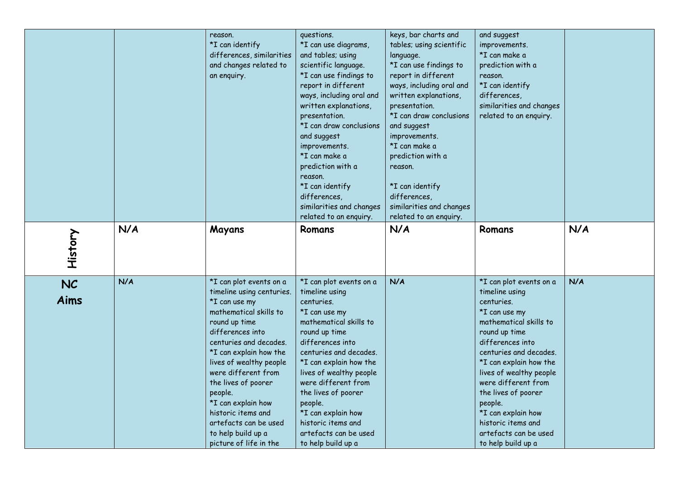|                   |     | reason.<br>*I can identify<br>differences, similarities<br>and changes related to<br>an enquiry.                                                                                                                                                                                                                                                                                                  | questions.<br>*I can use diagrams,<br>and tables; using<br>scientific language.<br>*I can use findings to<br>report in different<br>ways, including oral and<br>written explanations,<br>presentation.<br>*I can draw conclusions<br>and suggest<br>improvements.<br>*I can make a<br>prediction with a<br>reason.<br>*I can identify<br>differences,<br>similarities and changes<br>related to an enquiry. | keys, bar charts and<br>tables; using scientific<br>language.<br>*I can use findings to<br>report in different<br>ways, including oral and<br>written explanations,<br>presentation.<br>*I can draw conclusions<br>and suggest<br>improvements.<br>*I can make a<br>prediction with a<br>reason.<br>*I can identify<br>differences,<br>similarities and changes<br>related to an enquiry. | and suggest<br>improvements.<br>*I can make a<br>prediction with a<br>reason.<br>*I can identify<br>differences,<br>similarities and changes<br>related to an enquiry.                                                                                                                                                                                                     |     |
|-------------------|-----|---------------------------------------------------------------------------------------------------------------------------------------------------------------------------------------------------------------------------------------------------------------------------------------------------------------------------------------------------------------------------------------------------|-------------------------------------------------------------------------------------------------------------------------------------------------------------------------------------------------------------------------------------------------------------------------------------------------------------------------------------------------------------------------------------------------------------|-------------------------------------------------------------------------------------------------------------------------------------------------------------------------------------------------------------------------------------------------------------------------------------------------------------------------------------------------------------------------------------------|----------------------------------------------------------------------------------------------------------------------------------------------------------------------------------------------------------------------------------------------------------------------------------------------------------------------------------------------------------------------------|-----|
| History           | N/A | Mayans                                                                                                                                                                                                                                                                                                                                                                                            | Romans                                                                                                                                                                                                                                                                                                                                                                                                      | N/A                                                                                                                                                                                                                                                                                                                                                                                       | Romans                                                                                                                                                                                                                                                                                                                                                                     | N/A |
| <b>NC</b><br>Aims | N/A | *I can plot events on a<br>timeline using centuries.<br>*I can use my<br>mathematical skills to<br>round up time<br>differences into<br>centuries and decades.<br>*I can explain how the<br>lives of wealthy people<br>were different from<br>the lives of poorer<br>people.<br>*I can explain how<br>historic items and<br>artefacts can be used<br>to help build up a<br>picture of life in the | *I can plot events on a<br>timeline using<br>centuries.<br>*I can use my<br>mathematical skills to<br>round up time<br>differences into<br>centuries and decades.<br>*I can explain how the<br>lives of wealthy people<br>were different from<br>the lives of poorer<br>people.<br>*I can explain how<br>historic items and<br>artefacts can be used<br>to help build up a                                  | N/A                                                                                                                                                                                                                                                                                                                                                                                       | *I can plot events on a<br>timeline using<br>centuries.<br>*I can use my<br>mathematical skills to<br>round up time<br>differences into<br>centuries and decades.<br>*I can explain how the<br>lives of wealthy people<br>were different from<br>the lives of poorer<br>people.<br>*I can explain how<br>historic items and<br>artefacts can be used<br>to help build up a | N/A |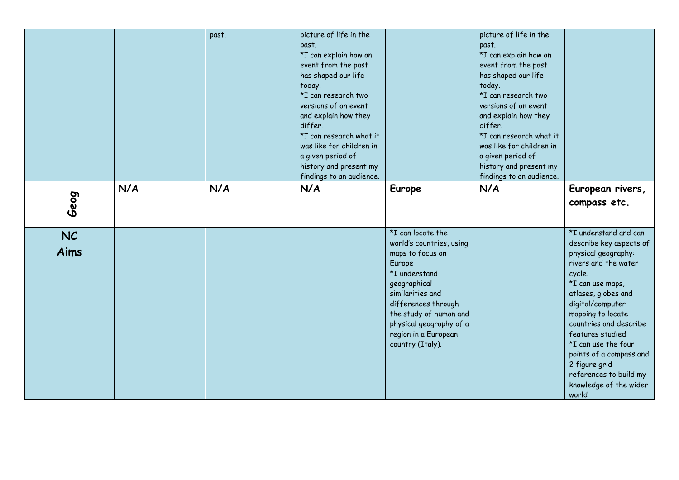|            |     | past. | picture of life in the<br>past.<br>*I can explain how an<br>event from the past<br>has shaped our life<br>today.<br>*I can research two<br>versions of an event<br>and explain how they<br>differ.<br>*I can research what it<br>was like for children in |                                                                                                                                                                                                                                                          | picture of life in the<br>past.<br>*I can explain how an<br>event from the past<br>has shaped our life<br>today.<br>*I can research two<br>versions of an event<br>and explain how they<br>differ.<br>*I can research what it<br>was like for children in |                                                                                                                                                                                                                                                                                                                                                                             |
|------------|-----|-------|-----------------------------------------------------------------------------------------------------------------------------------------------------------------------------------------------------------------------------------------------------------|----------------------------------------------------------------------------------------------------------------------------------------------------------------------------------------------------------------------------------------------------------|-----------------------------------------------------------------------------------------------------------------------------------------------------------------------------------------------------------------------------------------------------------|-----------------------------------------------------------------------------------------------------------------------------------------------------------------------------------------------------------------------------------------------------------------------------------------------------------------------------------------------------------------------------|
|            | N/A | N/A   | a given period of<br>history and present my<br>findings to an audience.<br>N/A                                                                                                                                                                            | Europe                                                                                                                                                                                                                                                   | a given period of<br>history and present my<br>findings to an audience.<br>N/A                                                                                                                                                                            | European rivers,                                                                                                                                                                                                                                                                                                                                                            |
| Geog       |     |       |                                                                                                                                                                                                                                                           |                                                                                                                                                                                                                                                          |                                                                                                                                                                                                                                                           | compass etc.                                                                                                                                                                                                                                                                                                                                                                |
| NC<br>Aims |     |       |                                                                                                                                                                                                                                                           | *I can locate the<br>world's countries, using<br>maps to focus on<br>Europe<br>*I understand<br>geographical<br>similarities and<br>differences through<br>the study of human and<br>physical geography of a<br>region in a European<br>country (Italy). |                                                                                                                                                                                                                                                           | *I understand and can<br>describe key aspects of<br>physical geography:<br>rivers and the water<br>cycle.<br>*I can use maps,<br>atlases, globes and<br>digital/computer<br>mapping to locate<br>countries and describe<br>features studied<br>*I can use the four<br>points of a compass and<br>2 figure grid<br>references to build my<br>knowledge of the wider<br>world |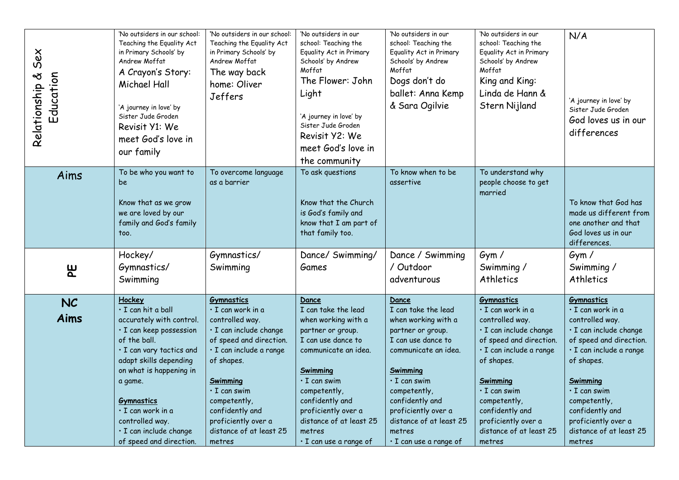| Sex<br>Relationship &<br>Education | 'No outsiders in our school:<br>Teaching the Equality Act<br>in Primary Schools' by<br>Andrew Moffat<br>A Crayon's Story:<br>Michael Hall<br>'A journey in love' by<br>Sister Jude Groden<br>Revisit Y1: We<br>meet God's love in<br>our family                                                                   | 'No outsiders in our school:<br>Teaching the Equality Act<br>in Primary Schools' by<br>Andrew Moffat<br>The way back<br>home: Oliver<br>Jeffers                                                                                                                                          | 'No outsiders in our<br>school: Teaching the<br>Equality Act in Primary<br>Schools' by Andrew<br>Moffat<br>The Flower: John<br>Light<br>'A journey in love' by<br>Sister Jude Groden<br>Revisit Y2: We<br>meet God's love in<br>the community                                           | 'No outsiders in our<br>school: Teaching the<br>Equality Act in Primary<br>Schools' by Andrew<br>Moffat<br>Dogs don't do<br>ballet: Anna Kemp<br>& Sara Ogilvie                                                                                                                         | 'No outsiders in our<br>school: Teaching the<br>Equality Act in Primary<br>Schools' by Andrew<br>Moffat<br>King and King:<br>Linda de Hann &<br>Stern Nijland                                                                                                                            | N/A<br>'A journey in love' by<br>Sister Jude Groden<br>God loves us in our<br>differences                                                                                                                                                                                                |
|------------------------------------|-------------------------------------------------------------------------------------------------------------------------------------------------------------------------------------------------------------------------------------------------------------------------------------------------------------------|------------------------------------------------------------------------------------------------------------------------------------------------------------------------------------------------------------------------------------------------------------------------------------------|-----------------------------------------------------------------------------------------------------------------------------------------------------------------------------------------------------------------------------------------------------------------------------------------|-----------------------------------------------------------------------------------------------------------------------------------------------------------------------------------------------------------------------------------------------------------------------------------------|------------------------------------------------------------------------------------------------------------------------------------------------------------------------------------------------------------------------------------------------------------------------------------------|------------------------------------------------------------------------------------------------------------------------------------------------------------------------------------------------------------------------------------------------------------------------------------------|
| Aims                               | To be who you want to<br>be<br>Know that as we grow<br>we are loved by our<br>family and God's family<br>too.                                                                                                                                                                                                     | To overcome language<br>as a barrier                                                                                                                                                                                                                                                     | To ask questions<br>Know that the Church<br>is God's family and<br>know that I am part of<br>that family too.                                                                                                                                                                           | To know when to be<br>assertive                                                                                                                                                                                                                                                         | To understand why<br>people choose to get<br>married                                                                                                                                                                                                                                     | To know that God has<br>made us different from<br>one another and that<br>God loves us in our<br>differences.                                                                                                                                                                            |
| 巴                                  | Hockey/<br>Gymnastics/<br>Swimming                                                                                                                                                                                                                                                                                | Gymnastics/<br>Swimming                                                                                                                                                                                                                                                                  | Dance/ Swimming/<br>Games                                                                                                                                                                                                                                                               | Dance / Swimming<br>/ Outdoor<br>adventurous                                                                                                                                                                                                                                            | Gym/<br>Swimming /<br>Athletics                                                                                                                                                                                                                                                          | Gym/<br>Swimming /<br>Athletics                                                                                                                                                                                                                                                          |
| <b>NC</b><br>Aims                  | Hockey<br>· I can hit a ball<br>accurately with control.<br>· I can keep possession<br>of the ball.<br>· I can vary tactics and<br>adapt skills depending<br>on what is happening in<br>a game.<br><b>Gymnastics</b><br>· I can work in a<br>controlled way.<br>· I can include change<br>of speed and direction. | <b>Gymnastics</b><br>· I can work in a<br>controlled way.<br>· I can include change<br>of speed and direction.<br>· I can include a range<br>of shapes.<br>Swimming<br>$\cdot$ I can swim<br>competently,<br>confidently and<br>proficiently over a<br>distance of at least 25<br>metres | Dance<br>I can take the lead<br>when working with a<br>partner or group.<br>I can use dance to<br>communicate an idea.<br>Swimming<br>$\cdot$ I can swim<br>competently,<br>confidently and<br>proficiently over a<br>distance of at least 25<br>metres<br>$\cdot$ I can use a range of | Dance<br>I can take the lead<br>when working with a<br>partner or group.<br>I can use dance to<br>communicate an idea.<br>Swimming<br>$\cdot$ I can swim<br>competently,<br>confidently and<br>proficiently over a<br>distance of at least 25<br>metres<br>$\cdot$ I can use a range of | <b>Gymnastics</b><br>· I can work in a<br>controlled way.<br>· I can include change<br>of speed and direction.<br>· I can include a range<br>of shapes.<br>Swimming<br>$\cdot$ I can swim<br>competently,<br>confidently and<br>proficiently over a<br>distance of at least 25<br>metres | <b>Gymnastics</b><br>· I can work in a<br>controlled way.<br>· I can include change<br>of speed and direction.<br>· I can include a range<br>of shapes.<br>Swimming<br>$\cdot$ I can swim<br>competently,<br>confidently and<br>proficiently over a<br>distance of at least 25<br>metres |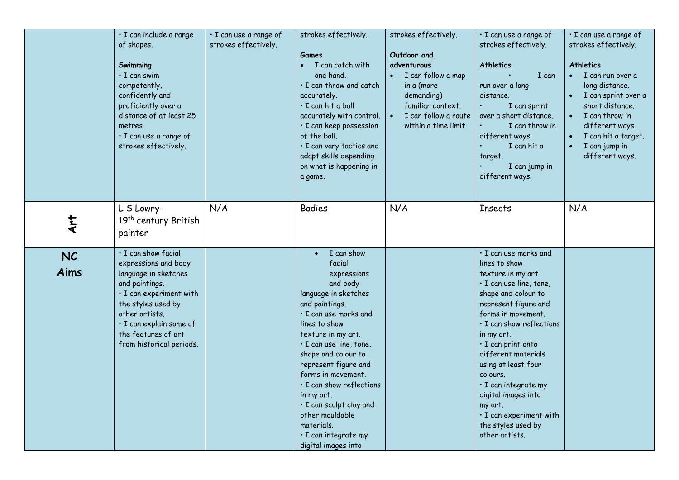|                   | · I can include a range<br>of shapes.<br><b>Swimming</b><br>$\cdot$ I can swim<br>competently,<br>confidently and<br>proficiently over a<br>distance of at least 25<br>metres<br>· I can use a range of<br>strokes effectively.              | · I can use a range of<br>strokes effectively. | strokes effectively.<br>Games<br>I can catch with<br>one hand.<br>$\cdot$ I can throw and catch<br>accurately.<br>$\cdot$ I can hit a ball<br>accurately with control.<br>· I can keep possession<br>of the ball.<br>· I can vary tactics and<br>adapt skills depending<br>on what is happening in<br>a game.                                                                                                              | strokes effectively.<br>Outdoor and<br>adventurous<br>I can follow a map<br>in a (more<br>demanding)<br>familiar context.<br>I can follow a route<br>$\bullet$<br>within a time limit. | · I can use a range of<br>strokes effectively.<br><b>Athletics</b><br>I can<br>run over a long<br>distance.<br>I can sprint<br>over a short distance.<br>I can throw in<br>different ways.<br>I can hit a<br>target.<br>I can jump in<br>different ways.                                                                                                                                                                              | · I can use a range of<br>strokes effectively.<br><b>Athletics</b><br>I can run over a<br>long distance.<br>I can sprint over a<br>short distance.<br>I can throw in<br>different ways.<br>I can hit a target.<br>I can jump in<br>$\bullet$<br>different ways. |
|-------------------|----------------------------------------------------------------------------------------------------------------------------------------------------------------------------------------------------------------------------------------------|------------------------------------------------|----------------------------------------------------------------------------------------------------------------------------------------------------------------------------------------------------------------------------------------------------------------------------------------------------------------------------------------------------------------------------------------------------------------------------|----------------------------------------------------------------------------------------------------------------------------------------------------------------------------------------|---------------------------------------------------------------------------------------------------------------------------------------------------------------------------------------------------------------------------------------------------------------------------------------------------------------------------------------------------------------------------------------------------------------------------------------|-----------------------------------------------------------------------------------------------------------------------------------------------------------------------------------------------------------------------------------------------------------------|
| Art               | L S Lowry-<br>19 <sup>th</sup> century British<br>painter                                                                                                                                                                                    | N/A                                            | <b>Bodies</b>                                                                                                                                                                                                                                                                                                                                                                                                              | N/A                                                                                                                                                                                    | <b>Insects</b>                                                                                                                                                                                                                                                                                                                                                                                                                        | N/A                                                                                                                                                                                                                                                             |
| <b>NC</b><br>Aims | · I can show facial<br>expressions and body<br>language in sketches<br>and paintings.<br>$\cdot$ I can experiment with<br>the styles used by<br>other artists.<br>· I can explain some of<br>the features of art<br>from historical periods. |                                                | I can show<br>facial<br>expressions<br>and body<br>language in sketches<br>and paintings.<br>$\cdot$ I can use marks and<br>lines to show<br>texture in my art.<br>· I can use line, tone,<br>shape and colour to<br>represent figure and<br>forms in movement.<br>· I can show reflections<br>in my art.<br>· I can sculpt clay and<br>other mouldable<br>materials.<br>$\cdot$ I can integrate my<br>digital images into |                                                                                                                                                                                        | · I can use marks and<br>lines to show<br>texture in my art.<br>$\cdot$ I can use line, tone,<br>shape and colour to<br>represent figure and<br>forms in movement.<br>· I can show reflections<br>in my art.<br>$\cdot$ I can print onto<br>different materials<br>using at least four<br>colours.<br>$\cdot$ I can integrate my<br>digital images into<br>my art.<br>· I can experiment with<br>the styles used by<br>other artists. |                                                                                                                                                                                                                                                                 |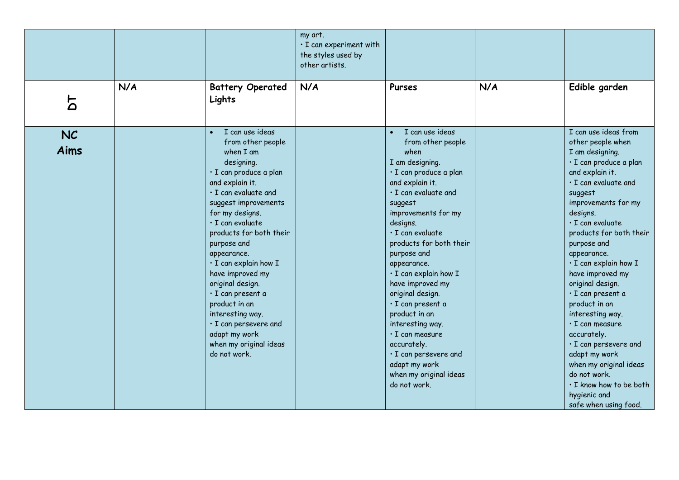|                   |     |                                                                                                                                                                                                                                                                                                                                                                                                                                                                                                | my art.<br>$\cdot$ I can experiment with<br>the styles used by<br>other artists. |                                                                                                                                                                                                                                                                                                                                                                                                                                                                                                                                           |     |                                                                                                                                                                                                                                                                                                                                                                                                                                                                                                                                                                                                           |
|-------------------|-----|------------------------------------------------------------------------------------------------------------------------------------------------------------------------------------------------------------------------------------------------------------------------------------------------------------------------------------------------------------------------------------------------------------------------------------------------------------------------------------------------|----------------------------------------------------------------------------------|-------------------------------------------------------------------------------------------------------------------------------------------------------------------------------------------------------------------------------------------------------------------------------------------------------------------------------------------------------------------------------------------------------------------------------------------------------------------------------------------------------------------------------------------|-----|-----------------------------------------------------------------------------------------------------------------------------------------------------------------------------------------------------------------------------------------------------------------------------------------------------------------------------------------------------------------------------------------------------------------------------------------------------------------------------------------------------------------------------------------------------------------------------------------------------------|
| 5                 | N/A | <b>Battery Operated</b><br>Lights                                                                                                                                                                                                                                                                                                                                                                                                                                                              | N/A                                                                              | Purses                                                                                                                                                                                                                                                                                                                                                                                                                                                                                                                                    | N/A | Edible garden                                                                                                                                                                                                                                                                                                                                                                                                                                                                                                                                                                                             |
| <b>NC</b><br>Aims |     | I can use ideas<br>$\bullet$<br>from other people<br>when I am<br>designing.<br>· I can produce a plan<br>and explain it.<br>· I can evaluate and<br>suggest improvements<br>for my designs.<br>$\cdot$ I can evaluate<br>products for both their<br>purpose and<br>appearance.<br>· I can explain how I<br>have improved my<br>original design.<br>· I can present a<br>product in an<br>interesting way.<br>· I can persevere and<br>adapt my work<br>when my original ideas<br>do not work. |                                                                                  | I can use ideas<br>$\bullet$<br>from other people<br>when<br>I am designing.<br>· I can produce a plan<br>and explain it.<br>· I can evaluate and<br>suggest<br>improvements for my<br>designs.<br>$\cdot$ I can evaluate<br>products for both their<br>purpose and<br>appearance.<br>· I can explain how I<br>have improved my<br>original design.<br>· I can present a<br>product in an<br>interesting way.<br>$\cdot$ I can measure<br>accurately.<br>· I can persevere and<br>adapt my work<br>when my original ideas<br>do not work. |     | I can use ideas from<br>other people when<br>I am designing.<br>· I can produce a plan<br>and explain it.<br>$\cdot$ I can evaluate and<br>suggest<br>improvements for my<br>designs.<br>$\cdot$ I can evaluate<br>products for both their<br>purpose and<br>appearance.<br>· I can explain how I<br>have improved my<br>original design.<br>$\cdot$ I can present a<br>product in an<br>interesting way.<br>$\cdot$ I can measure<br>accurately.<br>· I can persevere and<br>adapt my work<br>when my original ideas<br>do not work.<br>. I know how to be both<br>hygienic and<br>safe when using food. |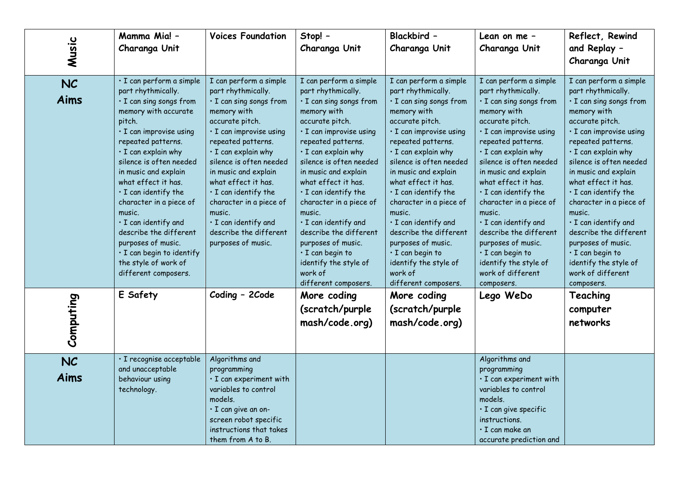| Music             | Mamma Mia! -<br>Charanga Unit                                                                                                                                                                                                                                                                                                                                                                                                                                                               | <b>Voices Foundation</b>                                                                                                                                                                                                                                                                                                                                                                               | Stop! -<br>Charanga Unit                                                                                                                                                                                                                                                                                                                                                                                                                                                                     | Blackbird -<br>Charanga Unit                                                                                                                                                                                                                                                                                                                                                                                                                                                                       | Lean on me -<br>Charanga Unit                                                                                                                                                                                                                                                                                                                                                                                                                                                                      | Reflect, Rewind<br>and Replay -<br>Charanga Unit                                                                                                                                                                                                                                                                                                                                                                                                                                       |
|-------------------|---------------------------------------------------------------------------------------------------------------------------------------------------------------------------------------------------------------------------------------------------------------------------------------------------------------------------------------------------------------------------------------------------------------------------------------------------------------------------------------------|--------------------------------------------------------------------------------------------------------------------------------------------------------------------------------------------------------------------------------------------------------------------------------------------------------------------------------------------------------------------------------------------------------|----------------------------------------------------------------------------------------------------------------------------------------------------------------------------------------------------------------------------------------------------------------------------------------------------------------------------------------------------------------------------------------------------------------------------------------------------------------------------------------------|----------------------------------------------------------------------------------------------------------------------------------------------------------------------------------------------------------------------------------------------------------------------------------------------------------------------------------------------------------------------------------------------------------------------------------------------------------------------------------------------------|----------------------------------------------------------------------------------------------------------------------------------------------------------------------------------------------------------------------------------------------------------------------------------------------------------------------------------------------------------------------------------------------------------------------------------------------------------------------------------------------------|----------------------------------------------------------------------------------------------------------------------------------------------------------------------------------------------------------------------------------------------------------------------------------------------------------------------------------------------------------------------------------------------------------------------------------------------------------------------------------------|
| <b>NC</b><br>Aims | · I can perform a simple<br>part rhythmically.<br>· I can sing songs from<br>memory with accurate<br>pitch.<br>· I can improvise using<br>repeated patterns.<br>$\cdot$ I can explain why<br>silence is often needed<br>in music and explain<br>what effect it has.<br>$\cdot$ I can identify the<br>character in a piece of<br>music.<br>· I can identify and<br>describe the different<br>purposes of music.<br>· I can begin to identify<br>the style of work of<br>different composers. | I can perform a simple<br>part rhythmically.<br>· I can sing songs from<br>memory with<br>accurate pitch.<br>· I can improvise using<br>repeated patterns.<br>· I can explain why<br>silence is often needed<br>in music and explain<br>what effect it has.<br>$\cdot$ I can identify the<br>character in a piece of<br>music.<br>· I can identify and<br>describe the different<br>purposes of music. | I can perform a simple<br>part rhythmically.<br>· I can sing songs from<br>memory with<br>accurate pitch.<br>· I can improvise using<br>repeated patterns.<br>$\cdot$ I can explain why<br>silence is often needed<br>in music and explain<br>what effect it has.<br>$\cdot$ I can identify the<br>character in a piece of<br>music.<br>· I can identify and<br>describe the different<br>purposes of music.<br>· I can begin to<br>identify the style of<br>work of<br>different composers. | I can perform a simple<br>part rhythmically.<br>· I can sing songs from<br>memory with<br>accurate pitch.<br>· I can improvise using<br>repeated patterns.<br>$\cdot$ I can explain why<br>silence is often needed<br>in music and explain<br>what effect it has.<br>$\cdot$ I can identify the<br>character in a piece of<br>music.<br>· I can identify and<br>describe the different<br>purposes of music.<br>$\cdot$ I can begin to<br>identify the style of<br>work of<br>different composers. | I can perform a simple<br>part rhythmically.<br>· I can sing songs from<br>memory with<br>accurate pitch.<br>· I can improvise using<br>repeated patterns.<br>$\cdot$ I can explain why<br>silence is often needed<br>in music and explain<br>what effect it has.<br>$\cdot$ I can identify the<br>character in a piece of<br>music.<br>· I can identify and<br>describe the different<br>purposes of music.<br>$\cdot$ I can begin to<br>identify the style of<br>work of different<br>composers. | I can perform a simple<br>part rhythmically.<br>· I can sing songs from<br>memory with<br>accurate pitch.<br>· I can improvise using<br>repeated patterns.<br>· I can explain why<br>silence is often needed<br>in music and explain<br>what effect it has.<br>$\cdot$ I can identify the<br>character in a piece of<br>music.<br>· I can identify and<br>describe the different<br>purposes of music.<br>· I can begin to<br>identify the style of<br>work of different<br>composers. |
| Computing         | E Safety                                                                                                                                                                                                                                                                                                                                                                                                                                                                                    | Coding - 2Code                                                                                                                                                                                                                                                                                                                                                                                         | More coding<br>(scratch/purple<br>mash/code.org)                                                                                                                                                                                                                                                                                                                                                                                                                                             | More coding<br>(scratch/purple<br>mash/code.org)                                                                                                                                                                                                                                                                                                                                                                                                                                                   | Lego WeDo                                                                                                                                                                                                                                                                                                                                                                                                                                                                                          | Teaching<br>computer<br>networks                                                                                                                                                                                                                                                                                                                                                                                                                                                       |
| <b>NC</b><br>Aims | · I recognise acceptable<br>and unacceptable<br>behaviour using<br>technology.                                                                                                                                                                                                                                                                                                                                                                                                              | Algorithms and<br>programming<br>· I can experiment with<br>variables to control<br>models.<br>$\cdot$ I can give an on-<br>screen robot specific<br>instructions that takes<br>them from A to B.                                                                                                                                                                                                      |                                                                                                                                                                                                                                                                                                                                                                                                                                                                                              |                                                                                                                                                                                                                                                                                                                                                                                                                                                                                                    | Algorithms and<br>programming<br>· I can experiment with<br>variables to control<br>models.<br>· I can give specific<br>instructions.<br>$\cdot$ I can make an<br>accurate prediction and                                                                                                                                                                                                                                                                                                          |                                                                                                                                                                                                                                                                                                                                                                                                                                                                                        |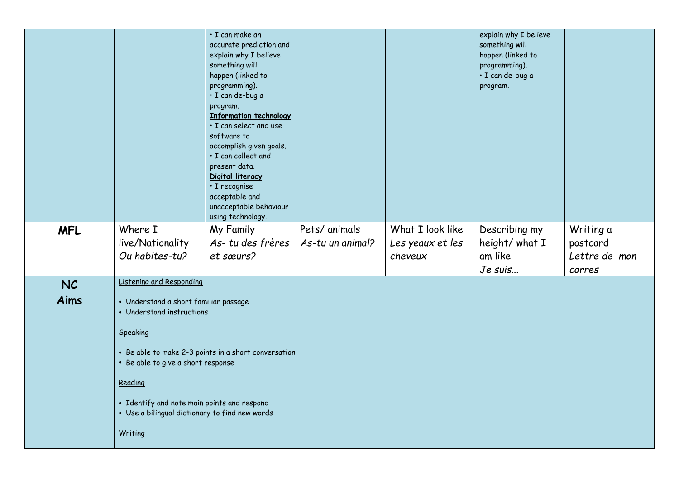|            |                                                | · I can make an                                    |                  |                  | explain why I believe             |               |
|------------|------------------------------------------------|----------------------------------------------------|------------------|------------------|-----------------------------------|---------------|
|            |                                                | accurate prediction and                            |                  |                  | something will                    |               |
|            |                                                | explain why I believe                              |                  |                  | happen (linked to                 |               |
|            |                                                | something will<br>happen (linked to                |                  |                  | programming).<br>· I can de-bug a |               |
|            |                                                | programming).                                      |                  |                  | program.                          |               |
|            |                                                | · I can de-bug a                                   |                  |                  |                                   |               |
|            |                                                | program.                                           |                  |                  |                                   |               |
|            |                                                | <b>Information technology</b>                      |                  |                  |                                   |               |
|            |                                                | · I can select and use                             |                  |                  |                                   |               |
|            |                                                | software to                                        |                  |                  |                                   |               |
|            |                                                | accomplish given goals.                            |                  |                  |                                   |               |
|            |                                                | $\cdot$ I can collect and                          |                  |                  |                                   |               |
|            |                                                | present data.                                      |                  |                  |                                   |               |
|            |                                                | Digital literacy                                   |                  |                  |                                   |               |
|            |                                                | · I recognise<br>acceptable and                    |                  |                  |                                   |               |
|            |                                                | unacceptable behaviour                             |                  |                  |                                   |               |
|            |                                                | using technology.                                  |                  |                  |                                   |               |
| <b>MFL</b> | Where I                                        | My Family                                          | Pets/ animals    | What I look like | Describing my                     | Writing a     |
|            | live/Nationality                               | As-tu des frères                                   | As-tu un animal? | Les yeaux et les | height/ what I                    | postcard      |
|            | Ou habites-tu?                                 | et sœurs?                                          |                  | cheveux          | am like                           | Lettre de mon |
|            |                                                |                                                    |                  |                  | Je suis                           |               |
|            | <b>Listening and Responding</b>                |                                                    |                  |                  |                                   | corres        |
| NC         |                                                |                                                    |                  |                  |                                   |               |
| Aims       | · Understand a short familiar passage          |                                                    |                  |                  |                                   |               |
|            | • Understand instructions                      |                                                    |                  |                  |                                   |               |
|            | Speaking                                       |                                                    |                  |                  |                                   |               |
|            |                                                |                                                    |                  |                  |                                   |               |
|            |                                                | Be able to make 2-3 points in a short conversation |                  |                  |                                   |               |
|            | Be able to give a short response               |                                                    |                  |                  |                                   |               |
|            | Reading                                        |                                                    |                  |                  |                                   |               |
|            |                                                |                                                    |                  |                  |                                   |               |
|            | • Identify and note main points and respond    |                                                    |                  |                  |                                   |               |
|            | . Use a bilingual dictionary to find new words |                                                    |                  |                  |                                   |               |
|            | Writing                                        |                                                    |                  |                  |                                   |               |
|            |                                                |                                                    |                  |                  |                                   |               |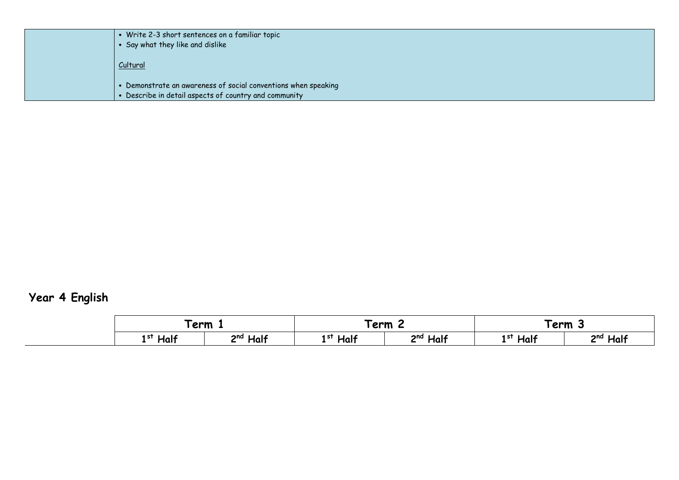| Write 2-3 short sentences on a familiar topic<br>Say what they like and dislike                                       |
|-----------------------------------------------------------------------------------------------------------------------|
| Cultural                                                                                                              |
| • Demonstrate an awareness of social conventions when speaking<br>Describe in detail aspects of country and community |

## **Year 4 English**

|              | $T$ erm $\Box$           | <sup>-</sup> erm |                         | Ferm 3        |                      |
|--------------|--------------------------|------------------|-------------------------|---------------|----------------------|
| Half<br>1 st | Half<br>2nd <sub>l</sub> | Half<br>1 st     | Half<br>2 <sub>nd</sub> | $1^{st}$ Half | 2 <sup>nd</sup> Half |